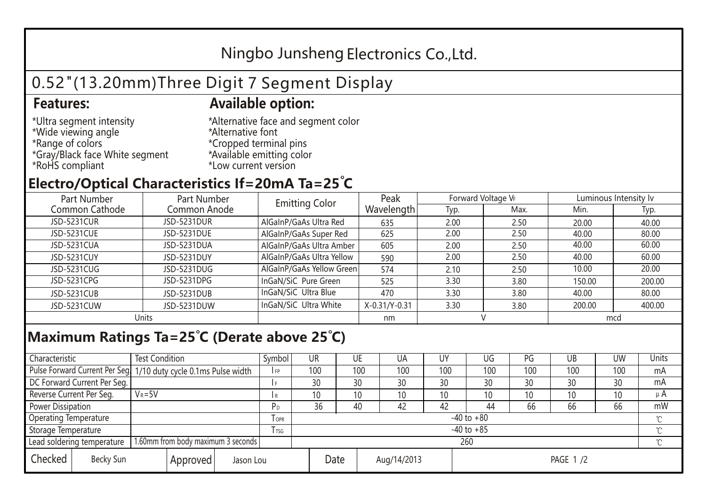## Ningbo Junsheng Electronics Co.,Ltd.

# 0.52"(13.20mm)Three Digit 7 Segment Display

### **Features: Available option:**

- \*Ultra segment intensity \*Wide viewing angle \*Range of colors \*Gray/Black face White segment \*RoHS compliant
- \*Alternative face and segment color \*Alternative font \*Cropped terminal pins \*Available emitting color \*Low current version

### **Electro/Optical Characteristics If=20mA Ta=25 C**

| Part Number    | Part Number  | <b>Emitting Color</b>     | Peak          | Forward Voltage VF |      | Luminous Intensity lv |        |  |
|----------------|--------------|---------------------------|---------------|--------------------|------|-----------------------|--------|--|
| Common Cathode | Common Anode |                           | Wavelength    | Typ.               | Max. | Min.                  | Typ.   |  |
| JSD-5231CUR    | JSD-5231DUR  | AlGaInP/GaAs Ultra Red    | 635           | 2.00               | 2.50 | 20.00                 | 40.00  |  |
| JSD-5231CUE    | JSD-5231DUE  | AlGaInP/GaAs Super Red    | 625           | 2.00               | 2.50 | 40.00                 | 80.00  |  |
| JSD-5231CUA    | JSD-5231DUA  | AlGaInP/GaAs Ultra Amber  | 605           | 2.00               | 2.50 | 40.00                 | 60.00  |  |
| JSD-5231CUY    | JSD-5231DUY  | AlGaInP/GaAs Ultra Yellow | 590           | 2.00               | 2.50 | 40.00                 | 60.00  |  |
| JSD-5231CUG    | JSD-5231DUG  | AlGaInP/GaAs Yellow Green | 574           | 2.10               | 2.50 | 10.00                 | 20.00  |  |
| JSD-5231CPG    | JSD-5231DPG  | InGaN/SiC Pure Green      | 525           | 3.30               | 3.80 | 150.00                | 200.00 |  |
| JSD-5231CUB    | JSD-5231DUB  | InGaN/SiC Ultra Blue      | 470           | 3.30               | 3.80 | 40.00                 | 80.00  |  |
| JSD-5231CUW    | JSD-5231DUW  | InGaN/SiC Ultra White     | X-0.31/Y-0.31 | 3.30               | 3.80 | 200.00                | 400.00 |  |
| Units          |              |                           | nm            |                    |      | mcd                   |        |  |

#### **Maximum Ratings Ta=25°C (Derate above 25°C)**

| Characteristic                                |            | <b>Test Condition</b><br>Symbol                                  |                |                     | UR              |  | UE  | UA       | UY  | UG  | PG  | UB              | <b>UW</b> | <b>Units</b> |
|-----------------------------------------------|------------|------------------------------------------------------------------|----------------|---------------------|-----------------|--|-----|----------|-----|-----|-----|-----------------|-----------|--------------|
|                                               |            | Pulse Forward Current Per Seg. 1/10 duty cycle 0.1ms Pulse width |                |                     | 100             |  | 100 | 100      | 100 | 100 | 100 | 100             | 100       | mA           |
| DC Forward Current Per Seg.                   |            |                                                                  |                |                     | 30              |  | 30  | 30       | 30  | 30  | 30  | 30              | 30        | mA           |
| Reverse Current Per Seg.                      | $V_R = 5V$ |                                                                  |                | I R                 | 10 <sup>°</sup> |  | 10  | 10       | 10  | 10  | 10  | 10 <sup>°</sup> | 10        | $\mu$ A      |
| <b>Power Dissipation</b>                      |            |                                                                  |                |                     | 36              |  | 40  | 42       | 42  | 44  | 66  | 66              | 66        | mW           |
| <b>Operating Temperature</b>                  |            |                                                                  | <b>OPR</b>     | $-40$ to $+80$      |                 |  |     |          |     |     |     |                 | $\sim$    |              |
| Storage Temperature                           |            | <b>I</b> TSG                                                     | $-40$ to $+85$ |                     |                 |  |     |          |     |     |     | $\sim$          |           |              |
| Lead soldering temperature                    |            | 1.60mm from body maximum 3 seconds                               |                | 260<br>$\gamma$     |                 |  |     |          |     |     |     |                 |           |              |
| Checked<br>Becky Sun<br>Approved<br>Jason Lou |            |                                                                  |                | Date<br>Aug/14/2013 |                 |  |     | PAGE 1/2 |     |     |     |                 |           |              |